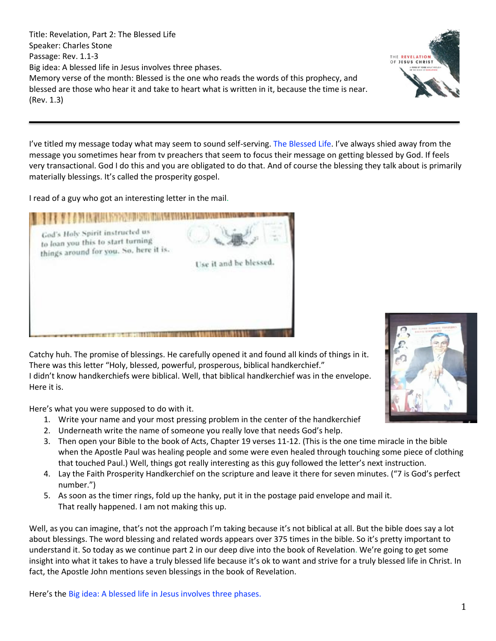Title: Revelation, Part 2: The Blessed Life Speaker: Charles Stone Passage: Rev. 1.1-3 Big idea: A blessed life in Jesus involves three phases. Memory verse of the month: Blessed is the one who reads the words of this prophecy, and blessed are those who hear it and take to heart what is written in it, because the time is near. (Rev. 1.3)



I read of a guy who got an interesting letter in the mail.

| God's Holy Spirit instructed us<br>to loan you this to start turning<br>things around for you. So, here it is. |                        |
|----------------------------------------------------------------------------------------------------------------|------------------------|
|                                                                                                                | Use it and be blessed. |
|                                                                                                                |                        |
|                                                                                                                |                        |

Catchy huh. The promise of blessings. He carefully opened it and found all kinds of things in it. There was this letter "Holy, blessed, powerful, prosperous, biblical handkerchief." I didn't know handkerchiefs were biblical. Well, that biblical handkerchief was in the envelope. Here it is.

Here's what you were supposed to do with it.

- 1. Write your name and your most pressing problem in the center of the handkerchief
- 2. Underneath write the name of someone you really love that needs God's help.
- 3. Then open your Bible to the book of Acts, Chapter 19 verses 11-12. (This is the one time miracle in the bible when the Apostle Paul was healing people and some were even healed through touching some piece of clothing that touched Paul.) Well, things got really interesting as this guy followed the letter's next instruction.
- 4. Lay the Faith Prosperity Handkerchief on the scripture and leave it there for seven minutes. ("7 is God's perfect number.")
- 5. As soon as the timer rings, fold up the hanky, put it in the postage paid envelope and mail it. That really happened. I am not making this up.

Well, as you can imagine, that's not the approach I'm taking because it's not biblical at all. But the bible does say a lot about blessings. The word blessing and related words appears over 375 times in the bible. So it's pretty important to understand it. So today as we continue part 2 in our deep dive into the book of Revelation. We're going to get some insight into what it takes to have a truly blessed life because it's ok to want and strive for a truly blessed life in Christ. In fact, the Apostle John mentions seven blessings in the book of Revelation.

Here's the Big idea: A blessed life in Jesus involves three phases.



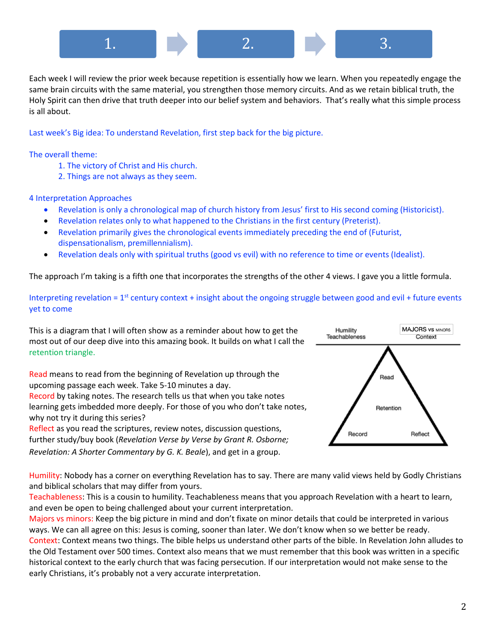

Each week I will review the prior week because repetition is essentially how we learn. When you repeatedly engage the same brain circuits with the same material, you strengthen those memory circuits. And as we retain biblical truth, the Holy Spirit can then drive that truth deeper into our belief system and behaviors. That's really what this simple process is all about.

Last week's Big idea: To understand Revelation, first step back for the big picture.

The overall theme:

- 1. The victory of Christ and His church.
- 2. Things are not always as they seem.

4 Interpretation Approaches

- Revelation is only a chronological map of church history from Jesus' first to His second coming (Historicist).
- Revelation relates only to what happened to the Christians in the first century (Preterist).
- Revelation primarily gives the chronological events immediately preceding the end of (Futurist, dispensationalism, premillennialism).
- Revelation deals only with spiritual truths (good vs evil) with no reference to time or events (Idealist).

The approach I'm taking is a fifth one that incorporates the strengths of the other 4 views. I gave you a little formula.

Interpreting revelation =  $1<sup>st</sup>$  century context + insight about the ongoing struggle between good and evil + future events yet to come

This is a diagram that I will often show as a reminder about how to get the most out of our deep dive into this amazing book. It builds on what I call the retention triangle.

Read means to read from the beginning of Revelation up through the upcoming passage each week. Take 5-10 minutes a day. Record by taking notes. The research tells us that when you take notes learning gets imbedded more deeply. For those of you who don't take notes,

why not try it during this series? Reflect as you read the scriptures, review notes, discussion questions, further study/buy book (*Revelation Verse by Verse by Grant R. Osborne; Revelation: A Shorter Commentary by G. K. Beale*), and get in a group.



Humility: Nobody has a corner on everything Revelation has to say. There are many valid views held by Godly Christians and biblical scholars that may differ from yours.

Teachableness: This is a cousin to humility. Teachableness means that you approach Revelation with a heart to learn, and even be open to being challenged about your current interpretation.

Majors vs minors: Keep the big picture in mind and don't fixate on minor details that could be interpreted in various ways. We can all agree on this: Jesus is coming, sooner than later. We don't know when so we better be ready. Context: Context means two things. The bible helps us understand other parts of the bible. In Revelation John alludes to the Old Testament over 500 times. Context also means that we must remember that this book was written in a specific historical context to the early church that was facing persecution. If our interpretation would not make sense to the early Christians, it's probably not a very accurate interpretation.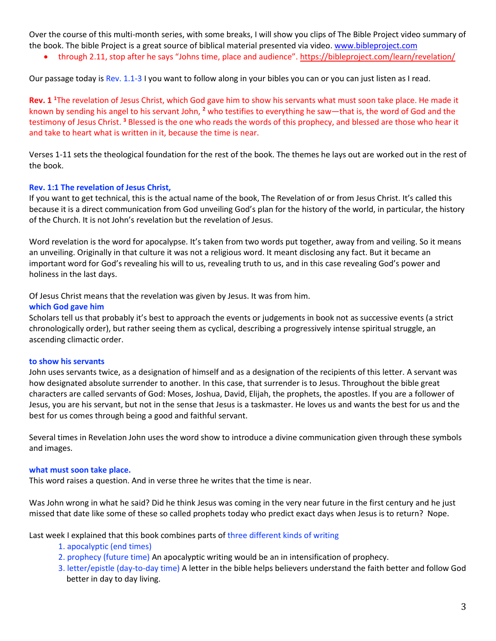Over the course of this multi-month series, with some breaks, I will show you clips of The Bible Project video summary of the book. The bible Project is a great source of biblical material presented via video. [www.bibleproject.com](http://www.bibleproject.com/)

• through 2.11, stop after he says "Johns time, place and audience". <https://bibleproject.com/learn/revelation/>

Our passage today is Rev. 1.1-3 I you want to follow along in your bibles you can or you can just listen as I read.

**Rev. 1 <sup>1</sup>**The revelation of Jesus Christ, which God gave him to show his servants what must soon take place. He made it known by sending his angel to his servant John, **<sup>2</sup>** who testifies to everything he saw—that is, the word of God and the testimony of Jesus Christ. **<sup>3</sup>** Blessed is the one who reads the words of this prophecy, and blessed are those who hear it and take to heart what is written in it, because the time is near.

Verses 1-11 sets the theological foundation for the rest of the book. The themes he lays out are worked out in the rest of the book.

#### **Rev. 1:1 The revelation of Jesus Christ,**

If you want to get technical, this is the actual name of the book, The Revelation of or from Jesus Christ. It's called this because it is a direct communication from God unveiling God's plan for the history of the world, in particular, the history of the Church. It is not John's revelation but the revelation of Jesus.

Word revelation is the word for apocalypse. It's taken from two words put together, away from and veiling. So it means an unveiling. Originally in that culture it was not a religious word. It meant disclosing any fact. But it became an important word for God's revealing his will to us, revealing truth to us, and in this case revealing God's power and holiness in the last days.

Of Jesus Christ means that the revelation was given by Jesus. It was from him.

#### **which God gave him**

Scholars tell us that probably it's best to approach the events or judgements in book not as successive events (a strict chronologically order), but rather seeing them as cyclical, describing a progressively intense spiritual struggle, an ascending climactic order.

#### **to show his servants**

John uses servants twice, as a designation of himself and as a designation of the recipients of this letter. A servant was how designated absolute surrender to another. In this case, that surrender is to Jesus. Throughout the bible great characters are called servants of God: Moses, Joshua, David, Elijah, the prophets, the apostles. If you are a follower of Jesus, you are his servant, but not in the sense that Jesus is a taskmaster. He loves us and wants the best for us and the best for us comes through being a good and faithful servant.

Several times in Revelation John uses the word show to introduce a divine communication given through these symbols and images.

### **what must soon take place.**

This word raises a question. And in verse three he writes that the time is near.

Was John wrong in what he said? Did he think Jesus was coming in the very near future in the first century and he just missed that date like some of these so called prophets today who predict exact days when Jesus is to return? Nope.

Last week I explained that this book combines parts of three different kinds of writing

- 1. apocalyptic (end times)
- 2. prophecy (future time) An apocalyptic writing would be an in intensification of prophecy.
- 3. letter/epistle (day-to-day time) A letter in the bible helps believers understand the faith better and follow God better in day to day living.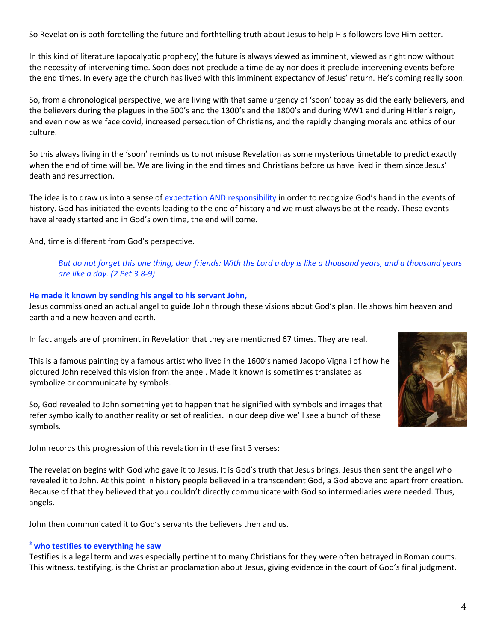So Revelation is both foretelling the future and forthtelling truth about Jesus to help His followers love Him better.

In this kind of literature (apocalyptic prophecy) the future is always viewed as imminent, viewed as right now without the necessity of intervening time. Soon does not preclude a time delay nor does it preclude intervening events before the end times. In every age the church has lived with this imminent expectancy of Jesus' return. He's coming really soon.

So, from a chronological perspective, we are living with that same urgency of 'soon' today as did the early believers, and the believers during the plagues in the 500's and the 1300's and the 1800's and during WW1 and during Hitler's reign, and even now as we face covid, increased persecution of Christians, and the rapidly changing morals and ethics of our culture.

So this always living in the 'soon' reminds us to not misuse Revelation as some mysterious timetable to predict exactly when the end of time will be. We are living in the end times and Christians before us have lived in them since Jesus' death and resurrection.

The idea is to draw us into a sense of expectation AND responsibility in order to recognize God's hand in the events of history. God has initiated the events leading to the end of history and we must always be at the ready. These events have already started and in God's own time, the end will come.

And, time is different from God's perspective.

# *But do not forget this one thing, dear friends: With the Lord a day is like a thousand years, and a thousand years are like a day. (2 Pet 3.8-9)*

### **He made it known by sending his angel to his servant John,**

Jesus commissioned an actual angel to guide John through these visions about God's plan. He shows him heaven and earth and a new heaven and earth.

In fact angels are of prominent in Revelation that they are mentioned 67 times. They are real.

This is a famous painting by a famous artist who lived in the 1600's named Jacopo Vignali of how he pictured John received this vision from the angel. Made it known is sometimes translated as symbolize or communicate by symbols.

So, God revealed to John something yet to happen that he signified with symbols and images that refer symbolically to another reality or set of realities. In our deep dive we'll see a bunch of these symbols.

John records this progression of this revelation in these first 3 verses:

The revelation begins with God who gave it to Jesus. It is God's truth that Jesus brings. Jesus then sent the angel who revealed it to John. At this point in history people believed in a transcendent God, a God above and apart from creation. Because of that they believed that you couldn't directly communicate with God so intermediaries were needed. Thus, angels.

John then communicated it to God's servants the believers then and us.

### **<sup>2</sup> who testifies to everything he saw**

Testifies is a legal term and was especially pertinent to many Christians for they were often betrayed in Roman courts. This witness, testifying, is the Christian proclamation about Jesus, giving evidence in the court of God's final judgment.

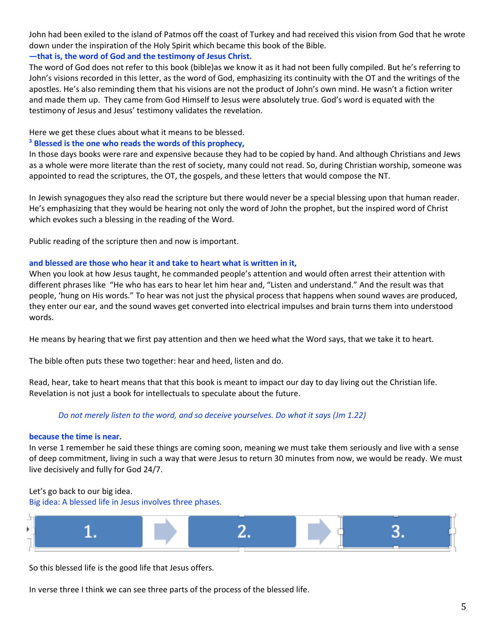John had been exiled to the island of Patmos off the coast of Turkey and had received this vision from God that he wrote down under the inspiration of the Holy Spirit which became this book of the Bible.

# **—that is, the word of God and the testimony of Jesus Christ.**

The word of God does not refer to this book (bible)as we know it as it had not been fully compiled. But he's referring to John's visions recorded in this letter, as the word of God, emphasizing its continuity with the OT and the writings of the apostles. He's also reminding them that his visions are not the product of John's own mind. He wasn't a fiction writer and made them up. They came from God Himself to Jesus were absolutely true. God's word is equated with the testimony of Jesus and Jesus' testimony validates the revelation.

Here we get these clues about what it means to be blessed.

# **<sup>3</sup> Blessed is the one who reads the words of this prophecy,**

In those days books were rare and expensive because they had to be copied by hand. And although Christians and Jews as a whole were more literate than the rest of society, many could not read. So, during Christian worship, someone was appointed to read the scriptures, the OT, the gospels, and these letters that would compose the NT.

In Jewish synagogues they also read the scripture but there would never be a special blessing upon that human reader. He's emphasizing that they would be hearing not only the word of John the prophet, but the inspired word of Christ which evokes such a blessing in the reading of the Word.

Public reading of the scripture then and now is important.

# **and blessed are those who hear it and take to heart what is written in it,**

When you look at how Jesus taught, he commanded people's attention and would often arrest their attention with different phrases like "He who has ears to hear let him hear and, "Listen and understand." And the result was that people, 'hung on His words." To hear was not just the physical process that happens when sound waves are produced, they enter our ear, and the sound waves get converted into electrical impulses and brain turns them into understood words.

He means by hearing that we first pay attention and then we heed what the Word says, that we take it to heart.

The bible often puts these two together: hear and heed, listen and do.

Read, hear, take to heart means that that this book is meant to impact our day to day living out the Christian life. Revelation is not just a book for intellectuals to speculate about the future.

# *Do not merely listen to the word, and so deceive yourselves. Do what it says (Jm 1.22)*

### **because the time is near.**

In verse 1 remember he said these things are coming soon, meaning we must take them seriously and live with a sense of deep commitment, living in such a way that were Jesus to return 30 minutes from now, we would be ready. We must live decisively and fully for God 24/7.

### Let's go back to our big idea.

Big idea: A blessed life in Jesus involves three phases.



So this blessed life is the good life that Jesus offers.

In verse three I think we can see three parts of the process of the blessed life.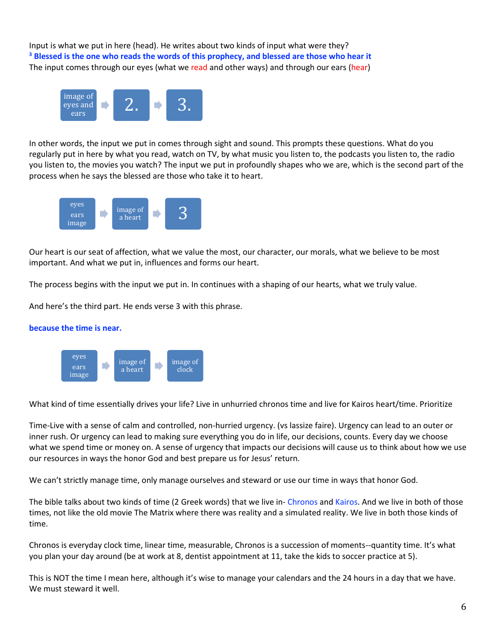Input is what we put in here (head). He writes about two kinds of input what were they? **<sup>3</sup> Blessed is the one who reads the words of this prophecy, and blessed are those who hear it**  The input comes through our eyes (what we read and other ways) and through our ears (hear)



In other words, the input we put in comes through sight and sound. This prompts these questions. What do you regularly put in here by what you read, watch on TV, by what music you listen to, the podcasts you listen to, the radio you listen to, the movies you watch? The input we put in profoundly shapes who we are, which is the second part of the process when he says the blessed are those who take it to heart.



Our heart is our seat of affection, what we value the most, our character, our morals, what we believe to be most important. And what we put in, influences and forms our heart.

The process begins with the input we put in. In continues with a shaping of our hearts, what we truly value.

And here's the third part. He ends verse 3 with this phrase.





What kind of time essentially drives your life? Live in unhurried chronos time and live for Kairos heart/time. Prioritize

Time-Live with a sense of calm and controlled, non-hurried urgency. (vs lassize faire). Urgency can lead to an outer or inner rush. Or urgency can lead to making sure everything you do in life, our decisions, counts. Every day we choose what we spend time or money on. A sense of urgency that impacts our decisions will cause us to think about how we use our resources in ways the honor God and best prepare us for Jesus' return.

We can't strictly manage time, only manage ourselves and steward or use our time in ways that honor God.

The bible talks about two kinds of time (2 Greek words) that we live in- Chronos and Kairos. And we live in both of those times, not like the old movie The Matrix where there was reality and a simulated reality. We live in both those kinds of time.

Chronos is everyday clock time, linear time, measurable, Chronos is a succession of moments--quantity time. It's what you plan your day around (be at work at 8, dentist appointment at 11, take the kids to soccer practice at 5).

This is NOT the time I mean here, although it's wise to manage your calendars and the 24 hours in a day that we have. We must steward it well.